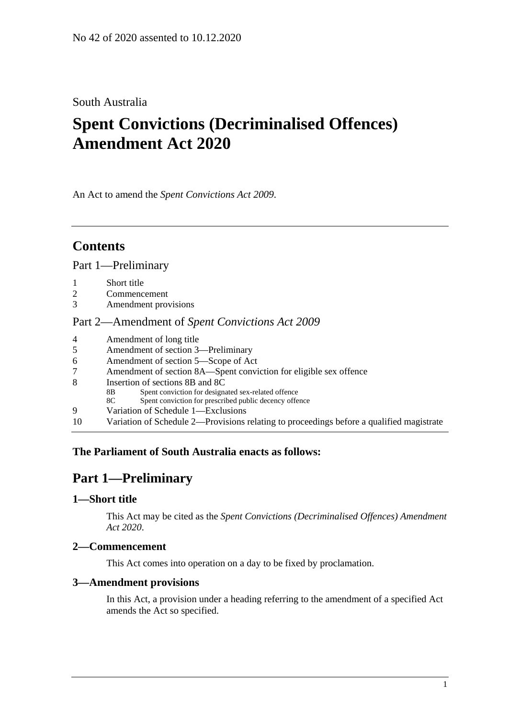# South Australia

# **Spent Convictions (Decriminalised Offences) Amendment Act 2020**

An Act to amend the *[Spent Convictions Act](http://www.legislation.sa.gov.au/index.aspx?action=legref&type=act&legtitle=Spent%20Convictions%20Act%202009) 2009*.

# **Contents**

Part [1—Preliminary](#page-0-0)

- 1 [Short title](#page-0-1)
- 2 [Commencement](#page-0-2)
- 3 [Amendment provisions](#page-0-3)

#### Part 2—Amendment of *[Spent Convictions Act](#page-1-0) 2009*

- 4 [Amendment of long title](#page-1-1)
- 5 [Amendment of section 3—Preliminary](#page-1-2)
- 6 [Amendment of section 5—Scope of Act](#page-1-3)
- 7 [Amendment of section 8A—Spent conviction for eligible sex offence](#page-2-0)
- 8 [Insertion of sections 8B and 8C](#page-2-1)
	- 8B Spent conviction for designated sex-related offence
	- 8C Spent conviction for prescribed public decency offence
- 9 [Variation of Schedule 1—Exclusions](#page-4-0)
- 10 [Variation of Schedule 2—Provisions relating to proceedings before a qualified magistrate](#page-4-1)

## <span id="page-0-0"></span>**The Parliament of South Australia enacts as follows:**

# **Part 1—Preliminary**

#### <span id="page-0-1"></span>**1—Short title**

This Act may be cited as the *Spent Convictions (Decriminalised Offences) Amendment Act 2020*.

#### <span id="page-0-2"></span>**2—Commencement**

This Act comes into operation on a day to be fixed by proclamation.

#### <span id="page-0-3"></span>**3—Amendment provisions**

In this Act, a provision under a heading referring to the amendment of a specified Act amends the Act so specified.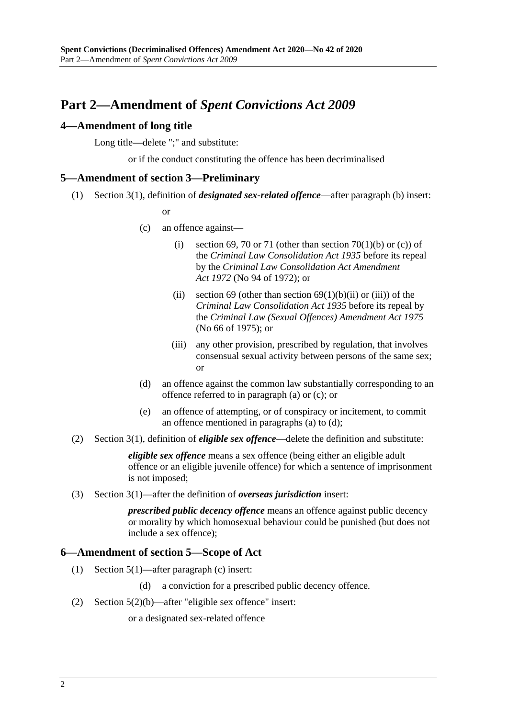# <span id="page-1-0"></span>**Part 2—Amendment of** *Spent Convictions Act 2009*

#### <span id="page-1-1"></span>**4—Amendment of long title**

Long title—delete ";" and substitute:

or if the conduct constituting the offence has been decriminalised

#### <span id="page-1-2"></span>**5—Amendment of section 3—Preliminary**

(1) Section 3(1), definition of *designated sex-related offence*—after paragraph (b) insert:

or

- (c) an offence against—
	- (i) section 69, 70 or 71 (other than section 70(1)(b) or (c)) of the *[Criminal Law Consolidation Act](http://www.legislation.sa.gov.au/index.aspx?action=legref&type=act&legtitle=Criminal%20Law%20Consolidation%20Act%201935) 1935* before its repeal by the *[Criminal Law Consolidation Act Amendment](http://www.legislation.sa.gov.au/index.aspx?action=legref&type=act&legtitle=Criminal%20Law%20Consolidation%20Act%20Amendment%20Act%201972)  Act [1972](http://www.legislation.sa.gov.au/index.aspx?action=legref&type=act&legtitle=Criminal%20Law%20Consolidation%20Act%20Amendment%20Act%201972)* (No 94 of 1972); or
	- (ii) section 69 (other than section  $69(1)(b)(ii)$  or (iii)) of the *[Criminal Law Consolidation Act](http://www.legislation.sa.gov.au/index.aspx?action=legref&type=act&legtitle=Criminal%20Law%20Consolidation%20Act%201935) 1935* before its repeal by the *[Criminal Law \(Sexual Offences\) Amendment Act](http://www.legislation.sa.gov.au/index.aspx?action=legref&type=act&legtitle=Criminal%20Law%20(Sexual%20Offences)%20Amendment%20Act%201975) 1975* (No 66 of 1975); or
	- (iii) any other provision, prescribed by regulation, that involves consensual sexual activity between persons of the same sex; or
- (d) an offence against the common law substantially corresponding to an offence referred to in paragraph (a) or (c); or
- (e) an offence of attempting, or of conspiracy or incitement, to commit an offence mentioned in paragraphs (a) to (d);
- (2) Section 3(1), definition of *eligible sex offence*—delete the definition and substitute:

*eligible sex offence* means a sex offence (being either an eligible adult offence or an eligible juvenile offence) for which a sentence of imprisonment is not imposed;

(3) Section 3(1)—after the definition of *overseas jurisdiction* insert:

*prescribed public decency offence* means an offence against public decency or morality by which homosexual behaviour could be punished (but does not include a sex offence);

#### <span id="page-1-3"></span>**6—Amendment of section 5—Scope of Act**

- (1) Section 5(1)—after paragraph (c) insert:
	- (d) a conviction for a prescribed public decency offence.
- (2) Section 5(2)(b)—after "eligible sex offence" insert:

or a designated sex-related offence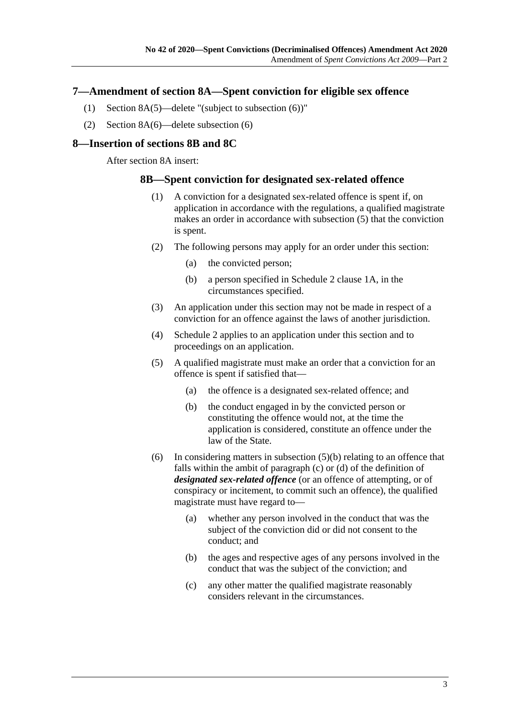#### <span id="page-2-0"></span>**7—Amendment of section 8A—Spent conviction for eligible sex offence**

- (1) Section 8A(5)—delete "(subject to subsection (6))"
- (2) Section 8A(6)—delete subsection (6)

#### <span id="page-2-1"></span>**8—Insertion of sections 8B and 8C**

After section 8A insert:

#### **8B—Spent conviction for designated sex-related offence**

- (1) A conviction for a designated sex-related offence is spent if, on application in accordance with the regulations, a qualified magistrate makes an order in accordance with [subsection](#page-2-2) (5) that the conviction is spent.
- (2) The following persons may apply for an order under this section:
	- (a) the convicted person;
	- (b) a person specified in Schedule 2 clause 1A, in the circumstances specified.
- (3) An application under this section may not be made in respect of a conviction for an offence against the laws of another jurisdiction.
- (4) Schedule 2 applies to an application under this section and to proceedings on an application.
- <span id="page-2-3"></span><span id="page-2-2"></span>(5) A qualified magistrate must make an order that a conviction for an offence is spent if satisfied that—
	- (a) the offence is a designated sex-related offence; and
	- (b) the conduct engaged in by the convicted person or constituting the offence would not, at the time the application is considered, constitute an offence under the law of the State.
- (6) In considering matters in [subsection](#page-2-3) (5)(b) relating to an offence that falls within the ambit of paragraph (c) or (d) of the definition of *designated sex-related offence* (or an offence of attempting, or of conspiracy or incitement, to commit such an offence), the qualified magistrate must have regard to—
	- (a) whether any person involved in the conduct that was the subject of the conviction did or did not consent to the conduct; and
	- (b) the ages and respective ages of any persons involved in the conduct that was the subject of the conviction; and
	- (c) any other matter the qualified magistrate reasonably considers relevant in the circumstances.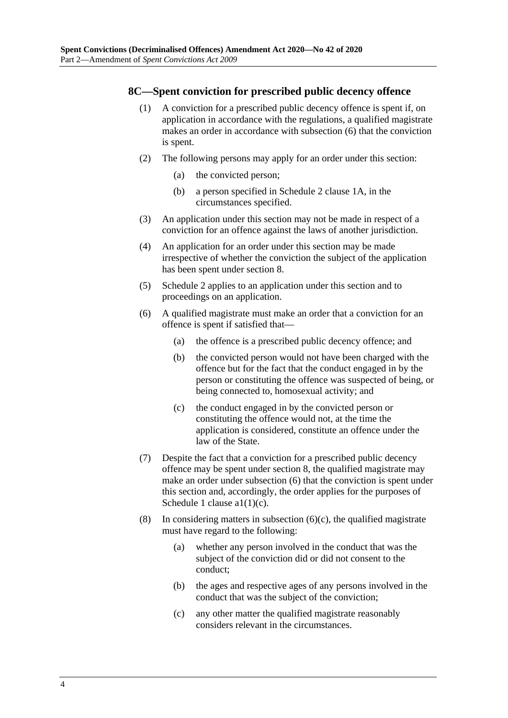#### **8C—Spent conviction for prescribed public decency offence**

- (1) A conviction for a prescribed public decency offence is spent if, on application in accordance with the regulations, a qualified magistrate makes an order in accordance with [subsection](#page-3-0) (6) that the conviction is spent.
- (2) The following persons may apply for an order under this section:
	- (a) the convicted person;
	- (b) a person specified in Schedule 2 clause 1A, in the circumstances specified.
- (3) An application under this section may not be made in respect of a conviction for an offence against the laws of another jurisdiction.
- (4) An application for an order under this section may be made irrespective of whether the conviction the subject of the application has been spent under section 8.
- (5) Schedule 2 applies to an application under this section and to proceedings on an application.
- <span id="page-3-0"></span>(6) A qualified magistrate must make an order that a conviction for an offence is spent if satisfied that—
	- (a) the offence is a prescribed public decency offence; and
	- (b) the convicted person would not have been charged with the offence but for the fact that the conduct engaged in by the person or constituting the offence was suspected of being, or being connected to, homosexual activity; and
	- (c) the conduct engaged in by the convicted person or constituting the offence would not, at the time the application is considered, constitute an offence under the law of the State.
- <span id="page-3-1"></span>(7) Despite the fact that a conviction for a prescribed public decency offence may be spent under section 8, the qualified magistrate may make an order under [subsection](#page-3-0) (6) that the conviction is spent under this section and, accordingly, the order applies for the purposes of Schedule 1 clause a1(1)(c).
- (8) In considering matters in [subsection](#page-3-1)  $(6)(c)$ , the qualified magistrate must have regard to the following:
	- (a) whether any person involved in the conduct that was the subject of the conviction did or did not consent to the conduct;
	- (b) the ages and respective ages of any persons involved in the conduct that was the subject of the conviction;
	- (c) any other matter the qualified magistrate reasonably considers relevant in the circumstances.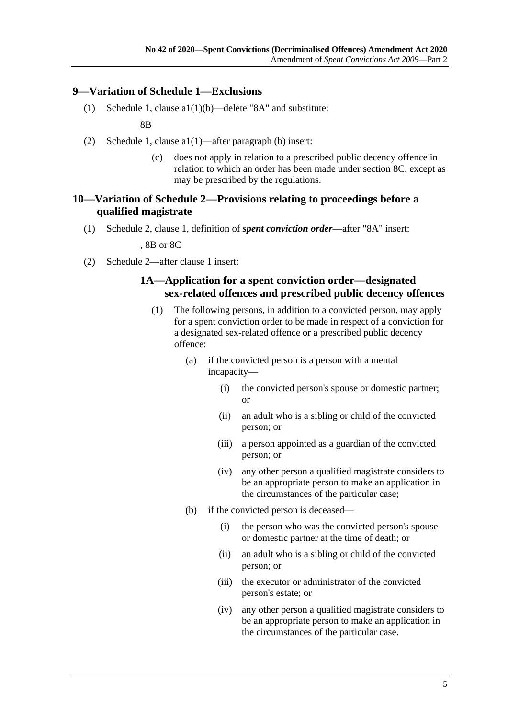### <span id="page-4-0"></span>**9—Variation of Schedule 1—Exclusions**

(1) Schedule 1, clause a1(1)(b)—delete "8A" and substitute:

8B

- (2) Schedule 1, clause a1(1)—after paragraph (b) insert:
	- (c) does not apply in relation to a prescribed public decency offence in relation to which an order has been made under section 8C, except as may be prescribed by the regulations.

### <span id="page-4-1"></span>**10—Variation of Schedule 2—Provisions relating to proceedings before a qualified magistrate**

(1) Schedule 2, clause 1, definition of *spent conviction order*—after "8A" insert:

, 8B or 8C

(2) Schedule 2—after clause 1 insert:

## **1A—Application for a spent conviction order—designated sex-related offences and prescribed public decency offences**

- (1) The following persons, in addition to a convicted person, may apply for a spent conviction order to be made in respect of a conviction for a designated sex-related offence or a prescribed public decency offence:
	- (a) if the convicted person is a person with a mental incapacity—
		- (i) the convicted person's spouse or domestic partner; or
		- (ii) an adult who is a sibling or child of the convicted person; or
		- (iii) a person appointed as a guardian of the convicted person; or
		- (iv) any other person a qualified magistrate considers to be an appropriate person to make an application in the circumstances of the particular case;
	- (b) if the convicted person is deceased—
		- (i) the person who was the convicted person's spouse or domestic partner at the time of death; or
		- (ii) an adult who is a sibling or child of the convicted person; or
		- (iii) the executor or administrator of the convicted person's estate; or
		- (iv) any other person a qualified magistrate considers to be an appropriate person to make an application in the circumstances of the particular case.